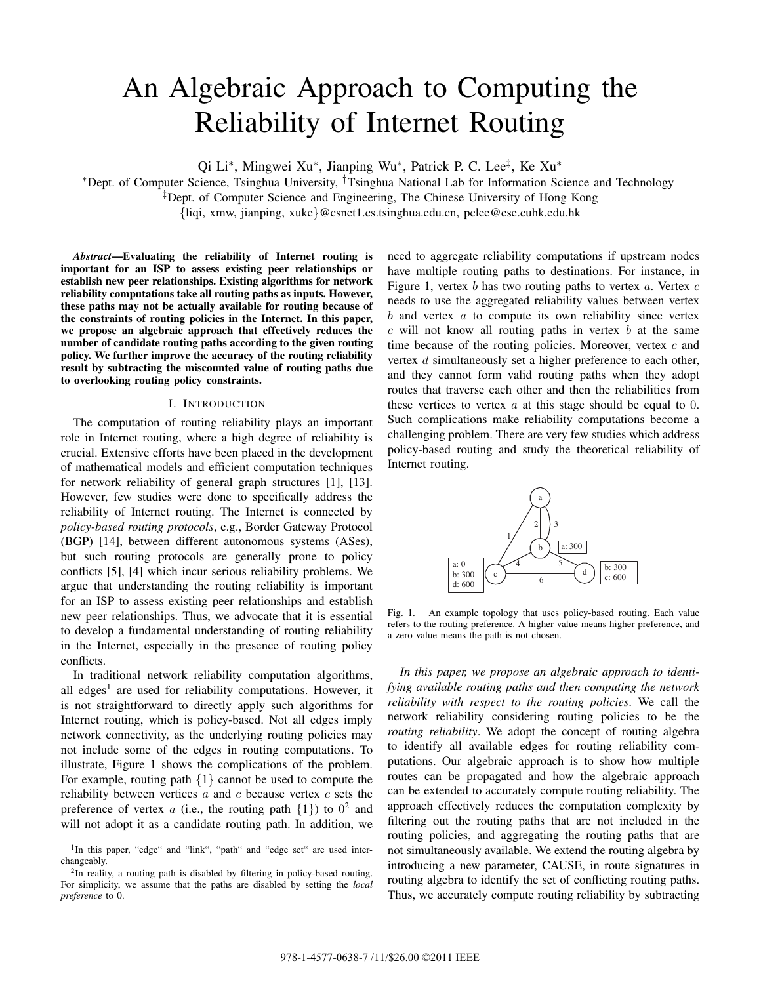# An Algebraic Approach to Computing the Reliability of Internet Routing

Qi Li∗, Mingwei Xu∗, Jianping Wu∗, Patrick P. C. Lee‡, Ke Xu<sup>∗</sup>

<sup>∗</sup>Dept. of Computer Science, Tsinghua University, †Tsinghua National Lab for Information Science and Technology

‡Dept. of Computer Science and Engineering, The Chinese University of Hong Kong

{liqi, xmw, jianping, xuke}@csnet1.cs.tsinghua.edu.cn, pclee@cse.cuhk.edu.hk

*Abstract***—Evaluating the reliability of Internet routing is important for an ISP to assess existing peer relationships or establish new peer relationships. Existing algorithms for network reliability computations take all routing paths as inputs. However, these paths may not be actually available for routing because of the constraints of routing policies in the Internet. In this paper, we propose an algebraic approach that effectively reduces the number of candidate routing paths according to the given routing policy. We further improve the accuracy of the routing reliability result by subtracting the miscounted value of routing paths due to overlooking routing policy constraints.**

# I. INTRODUCTION

The computation of routing reliability plays an important role in Internet routing, where a high degree of reliability is crucial. Extensive efforts have been placed in the development of mathematical models and efficient computation techniques for network reliability of general graph structures [1], [13]. However, few studies were done to specifically address the reliability of Internet routing. The Internet is connected by *policy-based routing protocols*, e.g., Border Gateway Protocol (BGP) [14], between different autonomous systems (ASes), but such routing protocols are generally prone to policy conflicts [5], [4] which incur serious reliability problems. We argue that understanding the routing reliability is important for an ISP to assess existing peer relationships and establish new peer relationships. Thus, we advocate that it is essential to develop a fundamental understanding of routing reliability in the Internet, especially in the presence of routing policy conflicts.

In traditional network reliability computation algorithms, all edges<sup>1</sup> are used for reliability computations. However, it is not straightforward to directly apply such algorithms for Internet routing, which is policy-based. Not all edges imply network connectivity, as the underlying routing policies may not include some of the edges in routing computations. To illustrate, Figure 1 shows the complications of the problem. For example, routing path {1} cannot be used to compute the reliability between vertices  $a$  and  $c$  because vertex  $c$  sets the preference of vertex a (i.e., the routing path  $\{1\}$ ) to  $0^2$  and will not adopt it as a candidate routing path. In addition, we

<sup>1</sup>In this paper, "edge" and "link", "path" and "edge set" are used interchangeably.

 $2$ In reality, a routing path is disabled by filtering in policy-based routing. For simplicity, we assume that the paths are disabled by setting the *local preference* to 0.

need to aggregate reliability computations if upstream nodes have multiple routing paths to destinations. For instance, in Figure 1, vertex  $b$  has two routing paths to vertex  $a$ . Vertex  $c$ needs to use the aggregated reliability values between vertex  $b$  and vertex  $a$  to compute its own reliability since vertex  $c$  will not know all routing paths in vertex  $b$  at the same time because of the routing policies. Moreover, vertex  $c$  and vertex d simultaneously set a higher preference to each other, and they cannot form valid routing paths when they adopt routes that traverse each other and then the reliabilities from these vertices to vertex  $a$  at this stage should be equal to 0. Such complications make reliability computations become a challenging problem. There are very few studies which address policy-based routing and study the theoretical reliability of Internet routing.



Fig. 1. An example topology that uses policy-based routing. Each value refers to the routing preference. A higher value means higher preference, and a zero value means the path is not chosen.

*In this paper, we propose an algebraic approach to identifying available routing paths and then computing the network reliability with respect to the routing policies*. We call the network reliability considering routing policies to be the *routing reliability*. We adopt the concept of routing algebra to identify all available edges for routing reliability computations. Our algebraic approach is to show how multiple routes can be propagated and how the algebraic approach can be extended to accurately compute routing reliability. The approach effectively reduces the computation complexity by filtering out the routing paths that are not included in the routing policies, and aggregating the routing paths that are not simultaneously available. We extend the routing algebra by introducing a new parameter, CAUSE, in route signatures in routing algebra to identify the set of conflicting routing paths. Thus, we accurately compute routing reliability by subtracting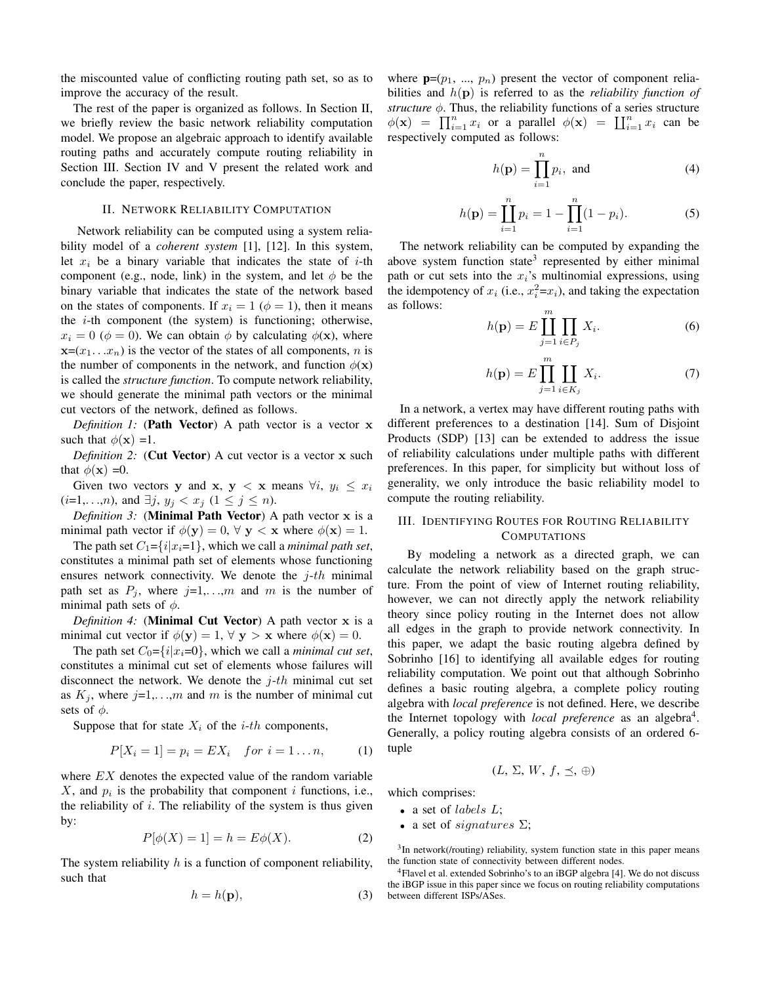the miscounted value of conflicting routing path set, so as to improve the accuracy of the result.

The rest of the paper is organized as follows. In Section II, we briefly review the basic network reliability computation model. We propose an algebraic approach to identify available routing paths and accurately compute routing reliability in Section III. Section IV and V present the related work and conclude the paper, respectively.

## II. NETWORK RELIABILITY COMPUTATION

Network reliability can be computed using a system reliability model of a *coherent system* [1], [12]. In this system, let  $x_i$  be a binary variable that indicates the state of  $i$ -th component (e.g., node, link) in the system, and let  $\phi$  be the binary variable that indicates the state of the network based on the states of components. If  $x_i = 1$  ( $\phi = 1$ ), then it means the  $i$ -th component (the system) is functioning; otherwise,  $x_i = 0$  ( $\phi = 0$ ). We can obtain  $\phi$  by calculating  $\phi(\mathbf{x})$ , where  $\mathbf{x}=(x_1 \dots x_n)$  is the vector of the states of all components, n is the number of components in the network, and function  $\phi(\mathbf{x})$ is called the *structure function*. To compute network reliability, we should generate the minimal path vectors or the minimal cut vectors of the network, defined as follows.

*Definition 1:* (**Path Vector**) A path vector is a vector **x** such that  $\phi(\mathbf{x}) = 1$ .

*Definition 2:* (**Cut Vector**) A cut vector is a vector **x** such that  $\phi(\mathbf{x}) = 0$ .

Given two vectors **y** and **x**, **y** < **x** means  $\forall i, y_i \leq x_i$ (*i*=1,...,*n*), and  $\exists j, y_j < x_j$  (1 ≤ *j* ≤ *n*).

*Definition 3:* (**Minimal Path Vector**) A path vector **x** is a minimal path vector if  $\phi(\mathbf{y})=0$ ,  $\forall$   $\mathbf{y} < \mathbf{x}$  where  $\phi(\mathbf{x})=1$ .

The path set  $C_1 = \{i|x_i=1\}$ , which we call a *minimal path set*, constitutes a minimal path set of elements whose functioning ensures network connectivity. We denote the  $j$ -th minimal path set as  $P_j$ , where  $j=1,...,m$  and m is the number of minimal path sets of  $\phi$ .

*Definition 4:* (**Minimal Cut Vector**) A path vector **x** is a minimal cut vector if  $\phi(\mathbf{y})=1$ ,  $\forall$   $\mathbf{y} > \mathbf{x}$  where  $\phi(\mathbf{x})=0$ .

The path set  $C_0 = \{i | x_i = 0\}$ , which we call a *minimal cut set*, constitutes a minimal cut set of elements whose failures will disconnect the network. We denote the  $j$ -th minimal cut set as  $K_j$ , where  $j=1,\ldots,m$  and m is the number of minimal cut sets of  $\phi$ .

Suppose that for state  $X_i$  of the *i*-th components,

$$
P[X_i = 1] = p_i = EX_i \text{ for } i = 1...n,
$$
 (1)

where  $EX$  denotes the expected value of the random variable  $X$ , and  $p_i$  is the probability that component  $i$  functions, i.e., the reliability of  $i$ . The reliability of the system is thus given by:

$$
P[\phi(X) = 1] = h = E\phi(X). \tag{2}
$$

The system reliability  $h$  is a function of component reliability, such that

$$
h = h(\mathbf{p}),\tag{3}
$$

where  $\mathbf{p}=(p_1, ..., p_n)$  present the vector of component reliabilities and h(**p**) is referred to as the *reliability function of structure*  $\phi$ . Thus, the reliability functions of a series structure  $\phi(\mathbf{x}) = \prod_{i=1}^{n} x_i$  or a parallel  $\phi(\mathbf{x}) = \prod_{i=1}^{n} x_i$  can be respectively computed as follows:

$$
h(\mathbf{p}) = \prod_{i=1}^{n} p_i, \text{ and } (4)
$$

$$
h(\mathbf{p}) = \coprod_{i=1}^{n} p_i = 1 - \prod_{i=1}^{n} (1 - p_i).
$$
 (5)

The network reliability can be computed by expanding the above system function state<sup>3</sup> represented by either minimal path or cut sets into the  $x_i$ 's multinomial expressions, using the idempotency of  $x_i$  (i.e.,  $x_i^2 = x_i$ ), and taking the expectation as follows:

$$
h(\mathbf{p}) = E \prod_{j=1}^{m} \prod_{i \in P_j} X_i.
$$
 (6)

$$
h(\mathbf{p}) = E \prod_{j=1}^{m} \prod_{i \in K_j} X_i.
$$
 (7)

In a network, a vertex may have different routing paths with different preferences to a destination [14]. Sum of Disjoint Products (SDP) [13] can be extended to address the issue of reliability calculations under multiple paths with different preferences. In this paper, for simplicity but without loss of generality, we only introduce the basic reliability model to compute the routing reliability.

# III. IDENTIFYING ROUTES FOR ROUTING RELIABILITY **COMPUTATIONS**

By modeling a network as a directed graph, we can calculate the network reliability based on the graph structure. From the point of view of Internet routing reliability, however, we can not directly apply the network reliability theory since policy routing in the Internet does not allow all edges in the graph to provide network connectivity. In this paper, we adapt the basic routing algebra defined by Sobrinho [16] to identifying all available edges for routing reliability computation. We point out that although Sobrinho defines a basic routing algebra, a complete policy routing algebra with *local preference* is not defined. Here, we describe the Internet topology with *local preference* as an algebra<sup>4</sup>. Generally, a policy routing algebra consists of an ordered 6 tuple

$$
(L, \Sigma, W, f, \preceq, \oplus)
$$

which comprises:

- a set of *labels*  $L$ ;
- a set of signatures  $\Sigma$ ;

<sup>3</sup>In network(/routing) reliability, system function state in this paper means the function state of connectivity between different nodes.

 $^{4}$ Flavel et al. extended Sobrinho's to an iBGP algebra [4]. We do not discuss the iBGP issue in this paper since we focus on routing reliability computations between different ISPs/ASes.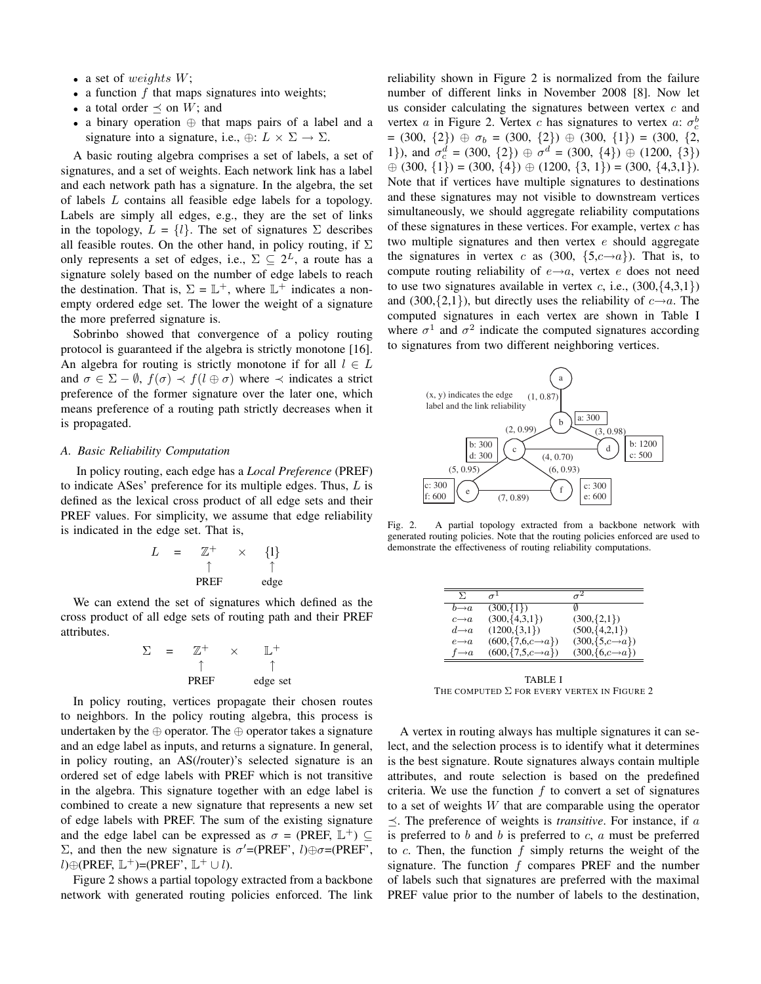- a set of weights  $W$ ;
- a function  $f$  that maps signatures into weights;
- a total order  $\preceq$  on W; and
- a binary operation ⊕ that maps pairs of a label and a signature into a signature, i.e.,  $\oplus: L \times \Sigma \to \Sigma$ .

A basic routing algebra comprises a set of labels, a set of signatures, and a set of weights. Each network link has a label and each network path has a signature. In the algebra, the set of labels L contains all feasible edge labels for a topology. Labels are simply all edges, e.g., they are the set of links in the topology,  $L = \{l\}$ . The set of signatures  $\Sigma$  describes all feasible routes. On the other hand, in policy routing, if  $\Sigma$ only represents a set of edges, i.e.,  $\Sigma \subseteq 2^L$ , a route has a signature solely based on the number of edge labels to reach the destination. That is,  $\Sigma = \mathbb{L}^+$ , where  $\mathbb{L}^+$  indicates a nonempty ordered edge set. The lower the weight of a signature the more preferred signature is.

Sobrinbo showed that convergence of a policy routing protocol is guaranteed if the algebra is strictly monotone [16]. An algebra for routing is strictly monotone if for all  $l \in L$ and  $\sigma \in \Sigma - \emptyset$ ,  $f(\sigma) \prec f(l \oplus \sigma)$  where  $\prec$  indicates a strict preference of the former signature over the later one, which means preference of a routing path strictly decreases when it is propagated.

## *A. Basic Reliability Computation*

In policy routing, each edge has a *Local Preference* (PREF) to indicate ASes' preference for its multiple edges. Thus,  $L$  is defined as the lexical cross product of all edge sets and their PREF values. For simplicity, we assume that edge reliability is indicated in the edge set. That is,

$$
L = \mathbb{Z}^+ \times \{1\}
$$
  
\n
$$
\uparrow \qquad \uparrow
$$
  
\nPREF  
\nedge  
\nedge  
\nedge  
\n

We can extend the set of signatures which defined as the cross product of all edge sets of routing path and their PREF attributes.

$$
\begin{array}{ccc}\n\Sigma & = & \mathbb{Z}^+ & \times & \mathbb{L}^+ \\
\uparrow & & \uparrow & & \uparrow \\
& & \mathsf{PREF} & & \mathsf{edge}\ \mathsf{set}\n\end{array}
$$

In policy routing, vertices propagate their chosen routes to neighbors. In the policy routing algebra, this process is undertaken by the  $oplus$  operator. The  $oplus$  operator takes a signature and an edge label as inputs, and returns a signature. In general, in policy routing, an AS(/router)'s selected signature is an ordered set of edge labels with PREF which is not transitive in the algebra. This signature together with an edge label is combined to create a new signature that represents a new set of edge labels with PREF. The sum of the existing signature and the edge label can be expressed as  $\sigma = (PREF, \mathbb{L}^+) \subseteq$  $Σ$ , and then the new signature is  $σ' = (PREF', l) ⊕ σ = (PREF',$ l)⊕(PREF,  $\mathbb{L}^+$ )=(PREF',  $\mathbb{L}^+ \cup l$ ).

Figure 2 shows a partial topology extracted from a backbone network with generated routing policies enforced. The link reliability shown in Figure 2 is normalized from the failure number of different links in November 2008 [8]. Now let us consider calculating the signatures between vertex  $c$  and vertex *a* in Figure 2. Vertex *c* has signatures to vertex *a*:  $\sigma_c^b$  $=(300, \{2\}) \oplus \sigma_b = (300, \{2\}) \oplus (300, \{1\}) = (300, \{2,$ 1}), and  $\sigma_c^d = (300, \{2\}) \oplus \sigma^d = (300, \{4\}) \oplus (1200, \{3\})$ ⊕ (300,  $\{1\}$ ) = (300,  $\{4\}$ ) ⊕ (1200,  $\{3, 1\}$ ) = (300,  $\{4, 3, 1\}$ ). Note that if vertices have multiple signatures to destinations and these signatures may not visible to downstream vertices simultaneously, we should aggregate reliability computations of these signatures in these vertices. For example, vertex  $c$  has two multiple signatures and then vertex  $e$  should aggregate the signatures in vertex c as (300,  $\{5,c \rightarrow a\}$ ). That is, to compute routing reliability of  $e \rightarrow a$ , vertex e does not need to use two signatures available in vertex c, i.e.,  $(300,\{4,3,1\})$ and (300, $\{2,1\}$ ), but directly uses the reliability of  $c \rightarrow a$ . The computed signatures in each vertex are shown in Table I where  $\sigma^1$  and  $\sigma^2$  indicate the computed signatures according to signatures from two different neighboring vertices.



Fig. 2. A partial topology extracted from a backbone network with generated routing policies. Note that the routing policies enforced are used to demonstrate the effectiveness of routing reliability computations.

| Σ.                | $\sigma^{\perp}$                | $\sigma^2$                    |
|-------------------|---------------------------------|-------------------------------|
| $b \rightarrow a$ | $(300,\{1\})$                   | M                             |
| $c \rightarrow a$ | $(300,\{4,3,1\})$               | $(300,\{2,1\})$               |
| $d \rightarrow a$ | $(1200,\{3,1\})$                | $(500,\{4,2,1\})$             |
| $e \rightarrow a$ | $(600,\{7,6,c\rightarrow a\})$  | $(300,\{5,c \rightarrow a\})$ |
| $f \rightarrow a$ | $(600,\{7,5,c \rightarrow a\})$ | $(300,\{6,c\rightarrow a\})$  |
|                   |                                 |                               |

 $=$ 

 $\overline{\phantom{a}}$ 

 $\equiv$ 

TABLE I THE COMPUTED  $\Sigma$  for every vertex in Figure 2

A vertex in routing always has multiple signatures it can select, and the selection process is to identify what it determines is the best signature. Route signatures always contain multiple attributes, and route selection is based on the predefined criteria. We use the function  $f$  to convert a set of signatures to a set of weights W that are comparable using the operator  $\preceq$ . The preference of weights is *transitive*. For instance, if a is preferred to b and b is preferred to c, a must be preferred to  $c$ . Then, the function  $f$  simply returns the weight of the signature. The function  $f$  compares PREF and the number of labels such that signatures are preferred with the maximal PREF value prior to the number of labels to the destination,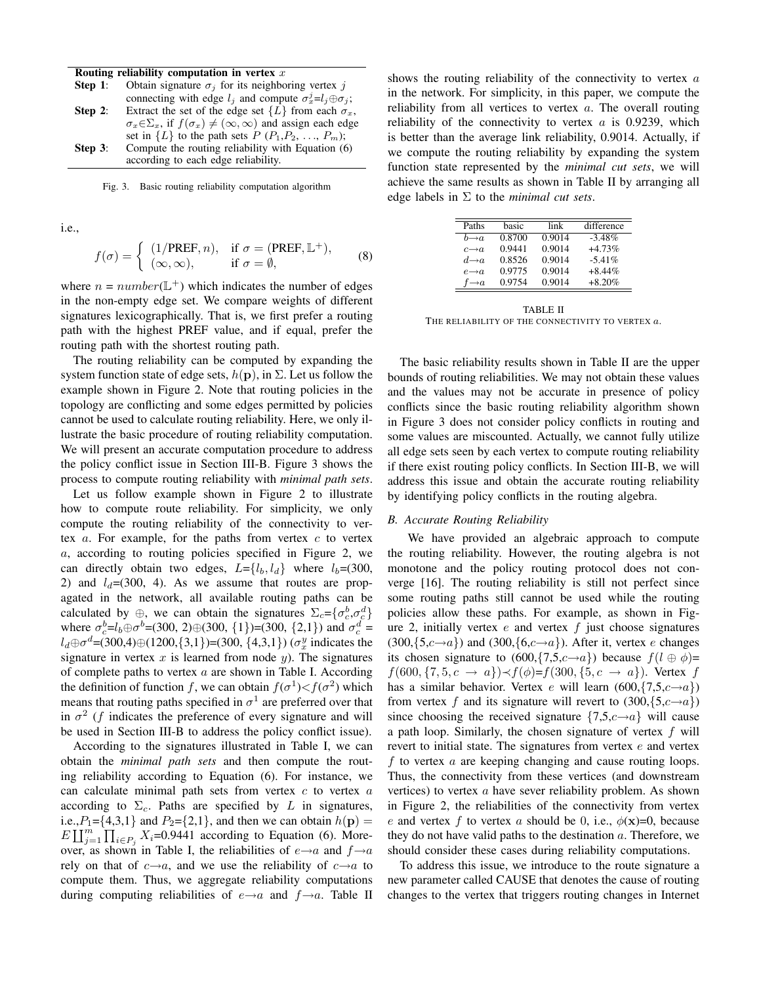| Routing reliability computation in vertex $x$ |                                                                                       |  |  |
|-----------------------------------------------|---------------------------------------------------------------------------------------|--|--|
|                                               | <b>Step 1:</b> Obtain signature $\sigma_i$ for its neighboring vertex j               |  |  |
|                                               | connecting with edge $l_i$ and compute $\sigma_x^j = l_i \oplus \sigma_i$ ;           |  |  |
| Step $2:$                                     | Extract the set of the edge set $\{L\}$ from each $\sigma_x$ ,                        |  |  |
|                                               | $\sigma_x \in \Sigma_x$ , if $f(\sigma_x) \neq (\infty, \infty)$ and assign each edge |  |  |
|                                               | set in $\{L\}$ to the path sets $P(P_1, P_2, \ldots, P_m)$ ;                          |  |  |
| Step $3$ :                                    | Compute the routing reliability with Equation (6)                                     |  |  |
|                                               | according to each edge reliability.                                                   |  |  |

Fig. 3. Basic routing reliability computation algorithm

i.e.,

$$
f(\sigma) = \begin{cases} (1/\text{PREF}, n), & \text{if } \sigma = (\text{PREF}, \mathbb{L}^+), \\ (\infty, \infty), & \text{if } \sigma = \emptyset, \end{cases}
$$
 (8)

where  $n = number(\mathbb{L}^+)$  which indicates the number of edges in the non-empty edge set. We compare weights of different signatures lexicographically. That is, we first prefer a routing path with the highest PREF value, and if equal, prefer the routing path with the shortest routing path.

The routing reliability can be computed by expanding the system function state of edge sets,  $h(\mathbf{p})$ , in  $\Sigma$ . Let us follow the example shown in Figure 2. Note that routing policies in the topology are conflicting and some edges permitted by policies cannot be used to calculate routing reliability. Here, we only illustrate the basic procedure of routing reliability computation. We will present an accurate computation procedure to address the policy conflict issue in Section III-B. Figure 3 shows the process to compute routing reliability with *minimal path sets*.

Let us follow example shown in Figure 2 to illustrate how to compute route reliability. For simplicity, we only compute the routing reliability of the connectivity to vertex  $a$ . For example, for the paths from vertex  $c$  to vertex a, according to routing policies specified in Figure 2, we can directly obtain two edges,  $L = \{l_b, l_d\}$  where  $l_b = (300,$ 2) and  $l_d = (300, 4)$ . As we assume that routes are propagated in the network, all available routing paths can be calculated by  $\oplus$ , we can obtain the signatures  $\Sigma_c = {\sigma_c^b, \sigma_c^d}$ where  $\sigma_c^b = l_b \oplus \sigma^b = (300, 2) \oplus (300, \{1\}) = (300, \{2, 1\})$  and  $\sigma_c^d =$ *l*<sub>d</sub>⊕ $\sigma$ <sup>*d*</sup>=(300,4)⊕(1200,{3,1})=(300, {4,3,1}) ( $\sigma_x^y$  indicates the signature in vertex  $x$  is learned from node  $y$ ). The signatures of complete paths to vertex a are shown in Table I. According the definition of function f, we can obtain  $f(\sigma^1) < f(\sigma^2)$  which means that routing paths specified in  $\sigma^1$  are preferred over that in  $\sigma^2$  (f indicates the preference of every signature and will be used in Section III-B to address the policy conflict issue).

According to the signatures illustrated in Table I, we can obtain the *minimal path sets* and then compute the routing reliability according to Equation (6). For instance, we can calculate minimal path sets from vertex  $c$  to vertex  $a$ according to  $\Sigma_c$ . Paths are specified by L in signatures, i.e., $P_1 = \{4,3,1\}$  and  $P_2 = \{2,1\}$ , and then we can obtain  $h(\mathbf{p}) =$  $E \coprod_{j=1}^{m} \prod_{i \in P_j} X_i = 0.9441$  according to Equation (6). Moreover, as shown in Table I, the reliabilities of  $e \rightarrow a$  and  $f \rightarrow a$ rely on that of  $c \rightarrow a$ , and we use the reliability of  $c \rightarrow a$  to compute them. Thus, we aggregate reliability computations during computing reliabilities of  $e \rightarrow a$  and  $f \rightarrow a$ . Table II shows the routing reliability of the connectivity to vertex a in the network. For simplicity, in this paper, we compute the reliability from all vertices to vertex  $a$ . The overall routing reliability of the connectivity to vertex  $a$  is 0.9239, which is better than the average link reliability, 0.9014. Actually, if we compute the routing reliability by expanding the system function state represented by the *minimal cut sets*, we will achieve the same results as shown in Table II by arranging all edge labels in Σ to the *minimal cut sets*.

| Paths             | basic  | link   | difference |
|-------------------|--------|--------|------------|
| $b \rightarrow a$ | 0.8700 | 0.9014 | $-3.48%$   |
| $c \rightarrow a$ | 0.9441 | 0.9014 | $+4.73%$   |
| $d \rightarrow a$ | 0.8526 | 0.9014 | $-5.41%$   |
| $e \rightarrow a$ | 0.9775 | 0.9014 | $+8.44%$   |
| $f \rightarrow a$ | 0.9754 | 0.9014 | $+8.20%$   |
|                   |        |        |            |

TABLE II THE RELIABILITY OF THE CONNECTIVITY TO VERTEX  $a$ .

The basic reliability results shown in Table II are the upper bounds of routing reliabilities. We may not obtain these values and the values may not be accurate in presence of policy conflicts since the basic routing reliability algorithm shown in Figure 3 does not consider policy conflicts in routing and some values are miscounted. Actually, we cannot fully utilize all edge sets seen by each vertex to compute routing reliability if there exist routing policy conflicts. In Section III-B, we will address this issue and obtain the accurate routing reliability by identifying policy conflicts in the routing algebra.

## *B. Accurate Routing Reliability*

We have provided an algebraic approach to compute the routing reliability. However, the routing algebra is not monotone and the policy routing protocol does not converge [16]. The routing reliability is still not perfect since some routing paths still cannot be used while the routing policies allow these paths. For example, as shown in Figure 2, initially vertex  $e$  and vertex  $f$  just choose signatures  $(300,\{5,c\rightarrow a\})$  and  $(300,\{6,c\rightarrow a\})$ . After it, vertex e changes its chosen signature to  $(600,\{7,5,c\rightarrow a\})$  because  $f(l \oplus \phi)$ =  $f(600, \{7, 5, c \rightarrow a\}) \prec f(\phi) = f(300, \{5, c \rightarrow a\})$ . Vertex f has a similar behavior. Vertex e will learn  $(600,\{7,5,c\rightarrow a\})$ from vertex f and its signature will revert to  $(300,\{5,c\rightarrow a\})$ since choosing the received signature  $\{7,5,c \rightarrow a\}$  will cause a path loop. Similarly, the chosen signature of vertex  $f$  will revert to initial state. The signatures from vertex  $e$  and vertex f to vertex a are keeping changing and cause routing loops. Thus, the connectivity from these vertices (and downstream vertices) to vertex  $a$  have sever reliability problem. As shown in Figure 2, the reliabilities of the connectivity from vertex e and vertex f to vertex a should be 0, i.e.,  $\phi(\mathbf{x})=0$ , because they do not have valid paths to the destination  $a$ . Therefore, we should consider these cases during reliability computations.

To address this issue, we introduce to the route signature a new parameter called CAUSE that denotes the cause of routing changes to the vertex that triggers routing changes in Internet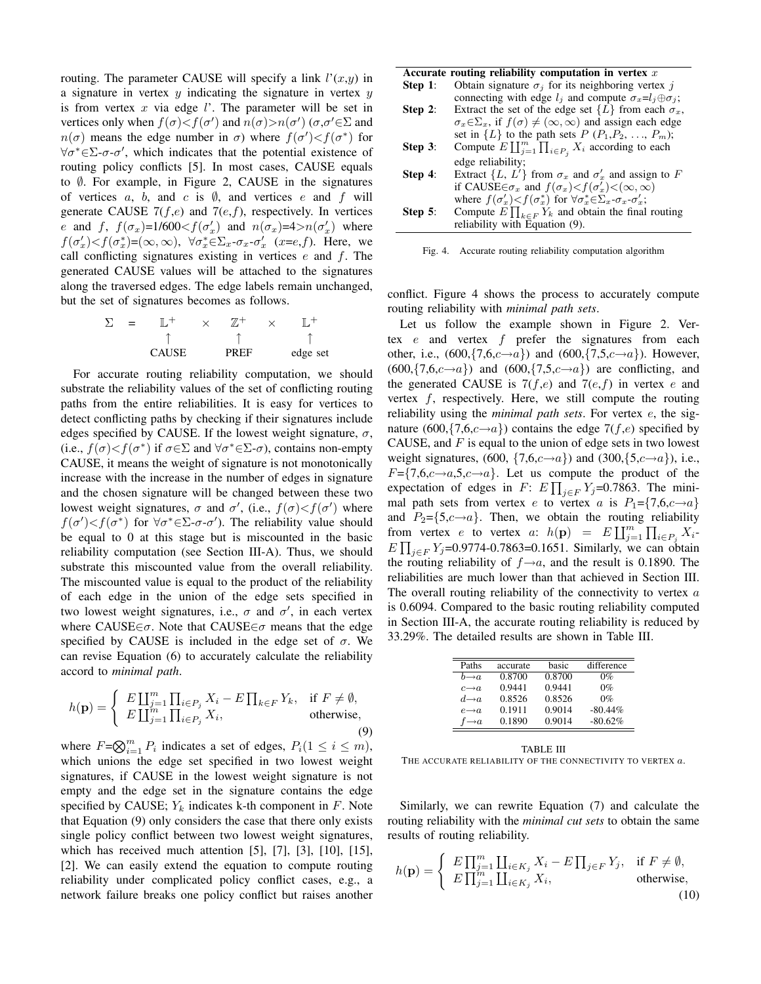routing. The parameter CAUSE will specify a link  $l'(x,y)$  in a signature in vertex  $y$  indicating the signature in vertex  $y$ is from vertex  $x$  via edge  $l'$ . The parameter will be set in vertices only when  $f(\sigma) < f(\sigma')$  and  $n(\sigma) > n(\sigma')$  ( $\sigma, \sigma' \in \Sigma$  and  $n(\sigma)$  means the edge number in  $\sigma$ ) where  $f(\sigma') < f(\sigma^*)$  for  $\forall \sigma^* \in \Sigma$ - $\sigma$ - $\sigma'$ , which indicates that the potential existence of routing policy conflicts [5]. In most cases, CAUSE equals to ∅. For example, in Figure 2, CAUSE in the signatures of vertices  $a, b,$  and  $c$  is  $\emptyset$ , and vertices  $e$  and  $f$  will generate CAUSE  $7(f,e)$  and  $7(e,f)$ , respectively. In vertices e and f,  $f(\sigma_x)=1/600 < f(\sigma'_x)$  and  $n(\sigma_x)=4>n(\sigma'_x)$  where  $f(\sigma_x') < f(\sigma_x^*) = (\infty, \infty)$ ,  $\forall \sigma_x^* \in \Sigma_x \cdot \sigma_x \cdot \sigma_x'$  (*x=e,f*). Here, we call conflicting signatures existing in vertices  $e$  and  $f$ . The generated CAUSE values will be attached to the signatures along the traversed edges. The edge labels remain unchanged, but the set of signatures becomes as follows.

$$
\Sigma = \begin{array}{ccccc} \mathbb{L}^+ & \times & \mathbb{Z}^+ & \times & \mathbb{L}^+ \\ & \uparrow & & \uparrow & & \uparrow \\ & & \mathbb{C} \text{AUSE} & & & \text{PREF} & & \text{edge set} \end{array}
$$

For accurate routing reliability computation, we should substrate the reliability values of the set of conflicting routing paths from the entire reliabilities. It is easy for vertices to detect conflicting paths by checking if their signatures include edges specified by CAUSE. If the lowest weight signature,  $\sigma$ , (i.e.,  $f(\sigma) < f(\sigma^*)$  if  $\sigma \in \Sigma$  and  $\forall \sigma^* \in \Sigma$ - $\sigma$ ), contains non-empty CAUSE, it means the weight of signature is not monotonically increase with the increase in the number of edges in signature and the chosen signature will be changed between these two lowest weight signatures,  $\sigma$  and  $\sigma'$ , (i.e.,  $f(\sigma) < f(\sigma')$  where  $f(\sigma') < f(\sigma^*)$  for  $\forall \sigma^* \in \Sigma$ - $\sigma$ - $\sigma'$ ). The reliability value should be equal to 0 at this stage but is miscounted in the basic reliability computation (see Section III-A). Thus, we should substrate this miscounted value from the overall reliability. The miscounted value is equal to the product of the reliability of each edge in the union of the edge sets specified in two lowest weight signatures, i.e.,  $\sigma$  and  $\sigma'$ , in each vertex where CAUSE∈ $\sigma$ . Note that CAUSE∈ $\sigma$  means that the edge specified by CAUSE is included in the edge set of  $\sigma$ . We can revise Equation (6) to accurately calculate the reliability accord to *minimal path*.

$$
h(\mathbf{p}) = \begin{cases} E \coprod_{j=1}^{m} \prod_{i \in P_j} X_i - E \prod_{k \in F} Y_k, & \text{if } F \neq \emptyset, \\ E \coprod_{j=1}^{m} \prod_{i \in P_j} X_i, & \text{otherwise,} \end{cases}
$$
(9)

where  $F = \bigotimes_{i=1}^{m} P_i$  indicates a set of edges,  $P_i(1 \leq i \leq m)$ , which unions the edge set specified in two lowest weight signatures, if CAUSE in the lowest weight signature is not empty and the edge set in the signature contains the edge specified by CAUSE;  $Y_k$  indicates k-th component in  $F$ . Note that Equation (9) only considers the case that there only exists single policy conflict between two lowest weight signatures, which has received much attention [5], [7], [3], [10], [15], [2]. We can easily extend the equation to compute routing reliability under complicated policy conflict cases, e.g., a network failure breaks one policy conflict but raises another

| Accurate routing reliability computation in vertex $x$ |                                                                                                             |  |  |
|--------------------------------------------------------|-------------------------------------------------------------------------------------------------------------|--|--|
| Step 1:                                                | Obtain signature $\sigma_i$ for its neighboring vertex j                                                    |  |  |
|                                                        | connecting with edge $l_i$ and compute $\sigma_x = l_i \oplus \sigma_i$ ;                                   |  |  |
| Step 2:                                                | Extract the set of the edge set $\{L\}$ from each $\sigma_x$ ,                                              |  |  |
|                                                        | $\sigma_x \in \Sigma_x$ , if $f(\sigma) \neq (\infty, \infty)$ and assign each edge                         |  |  |
|                                                        | set in $\{L\}$ to the path sets $P(P_1, P_2, \ldots, P_m)$ ;                                                |  |  |
| Step $3$ :                                             | Compute $E\coprod_{i=1}^m \prod_{i\in P_i} X_i$ according to each                                           |  |  |
|                                                        | edge reliability;                                                                                           |  |  |
| Step $4$ :                                             | Extract $\{L, L'\}$ from $\sigma_x$ and $\sigma'_x$ and assign to F                                         |  |  |
|                                                        | if CAUSE $\in \sigma_x$ and $f(\sigma_x) < f(\sigma'_x) < (\infty, \infty)$                                 |  |  |
|                                                        | where $f(\sigma'_x) < f(\sigma^*_x)$ for $\forall \sigma^*_x \in \Sigma_x \cdot \sigma_x \cdot \sigma'_x$ ; |  |  |
| Step $5$ :                                             | Compute $E\prod_{k\in F} Y_k$ and obtain the final routing                                                  |  |  |
|                                                        | reliability with Equation (9).                                                                              |  |  |

Fig. 4. Accurate routing reliability computation algorithm

conflict. Figure 4 shows the process to accurately compute routing reliability with *minimal path sets*.

Let us follow the example shown in Figure 2. Vertex  $e$  and vertex  $f$  prefer the signatures from each other, i.e.,  $(600, \{7, 6, c \rightarrow a\})$  and  $(600, \{7, 5, c \rightarrow a\})$ . However,  $(600,\{7,6,c\rightarrow a\})$  and  $(600,\{7,5,c\rightarrow a\})$  are conflicting, and the generated CAUSE is  $7(f,e)$  and  $7(e,f)$  in vertex e and vertex  $f$ , respectively. Here, we still compute the routing reliability using the *minimal path sets*. For vertex e, the signature  $(600,\{7,6,c \rightarrow a\})$  contains the edge  $7(f,e)$  specified by CAUSE, and  $F$  is equal to the union of edge sets in two lowest weight signatures, (600,  $\{7,6,c \rightarrow a\}$ ) and (300, $\{5,c \rightarrow a\}$ ), i.e.,  $F=\{7,6,c\rightarrow a,5,c\rightarrow a\}$ . Let us compute the product of the expectation of edges in  $F: E \prod_{j \in F} Y_j = 0.7863$ . The minimal path sets from vertex e to vertex a is  $P_1 = \{7,6,c \rightarrow a\}$ and  $P_2 = \{5, c \rightarrow a\}$ . Then, we obtain the routing reliability from vertex e to vertex a:  $h(\mathbf{p}) = E \coprod_{j=1}^{m} \prod_{i \in P_j} X_i$ .  $E \prod_{j \in F} Y_j = 0.9774 - 0.7863 = 0.1651$ . Similarly, we can obtain the routing reliability of  $f \rightarrow a$ , and the result is 0.1890. The reliabilities are much lower than that achieved in Section III. The overall routing reliability of the connectivity to vertex  $a$ is 0.6094. Compared to the basic routing reliability computed in Section III-A, the accurate routing reliability is reduced by 33.29%. The detailed results are shown in Table III.

| Paths             | accurate | basic  | difference |
|-------------------|----------|--------|------------|
| $b \rightarrow a$ | 0.8700   | 0.8700 | $0\%$      |
| $c \rightarrow a$ | 0.9441   | 0.9441 | $0\%$      |
| $d \rightarrow a$ | 0.8526   | 0.8526 | $0\%$      |
| $e \rightarrow a$ | 0.1911   | 0.9014 | $-80.44%$  |
| $f \rightarrow a$ | 0.1890   | 0.9014 | $-80.62%$  |
|                   |          |        |            |

TABLE III THE ACCURATE RELIABILITY OF THE CONNECTIVITY TO VERTEX  $a$ .

Similarly, we can rewrite Equation (7) and calculate the routing reliability with the *minimal cut sets* to obtain the same results of routing reliability.

$$
h(\mathbf{p}) = \begin{cases} E \prod_{j=1}^{m} \prod_{i \in K_j} X_i - E \prod_{j \in F} Y_j, & \text{if } F \neq \emptyset, \\ E \prod_{j=1}^{m} \prod_{i \in K_j} X_i, & \text{otherwise,} \end{cases}
$$
(10)